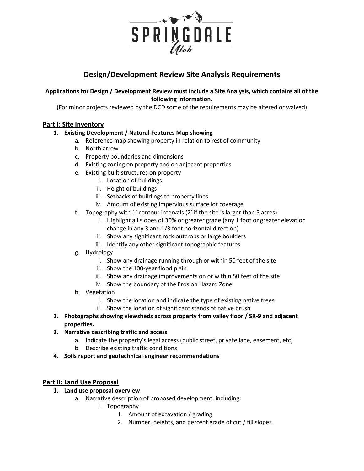

# **Design/Development Review Site Analysis Requirements**

### **Applications for Design / Development Review must include a Site Analysis, which contains all of the following information.**

(For minor projects reviewed by the DCD some of the requirements may be altered or waived)

# **Part I: Site Inventory**

### **1. Existing Development / Natural Features Map showing**

- a. Reference map showing property in relation to rest of community
- b. North arrow
- c. Property boundaries and dimensions
- d. Existing zoning on property and on adjacent properties
- e. Existing built structures on property
	- i. Location of buildings
	- ii. Height of buildings
	- iii. Setbacks of buildings to property lines
	- iv. Amount of existing impervious surface lot coverage
- f. Topography with 1' contour intervals (2' if the site is larger than 5 acres)
	- i. Highlight all slopes of 30% or greater grade (any 1 foot or greater elevation change in any 3 and 1/3 foot horizontal direction)
	- ii. Show any significant rock outcrops or large boulders
	- iii. Identify any other significant topographic features
- g. Hydrology
	- i. Show any drainage running through or within 50 feet of the site
	- ii. Show the 100-year flood plain
	- iii. Show any drainage improvements on or within 50 feet of the site
	- iv. Show the boundary of the Erosion Hazard Zone
- h. Vegetation
	- i. Show the location and indicate the type of existing native trees
	- ii. Show the location of significant stands of native brush
- **2. Photographs showing viewsheds across property from valley floor / SR-9 and adjacent properties.**
- **3. Narrative describing traffic and access**
	- a. Indicate the property's legal access (public street, private lane, easement, etc)
	- b. Describe existing traffic conditions
- **4. Soils report and geotechnical engineer recommendations**

### **Part II: Land Use Proposal**

- **1. Land use proposal overview**
	- a. Narrative description of proposed development, including:
		- i. Topography
			- 1. Amount of excavation / grading
			- 2. Number, heights, and percent grade of cut / fill slopes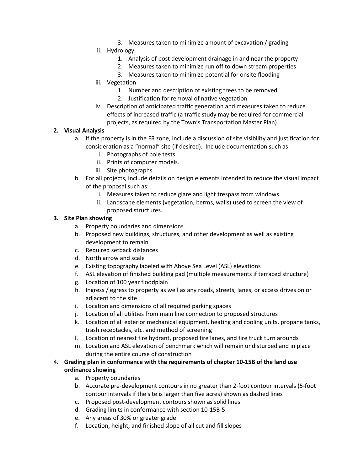3. Measures taken to minimize amount of excavation / grading

#### ii. Hydrology

- 1. Analysis of post development drainage in and near the property
- 2. Measures taken to minimize run off to down stream properties
- 3. Measures taken to minimize potential for onsite flooding
- iii. Vegetation
	- 1. Number and description of existing trees to be removed
	- 2. Justification for removal of native vegetation
- iv. Description of anticipated traffic generation and measures taken to reduce effects of increased traffic (a traffic study may be required for commercial projects, as required by the Town's Transportation Master Plan)

#### **2. Visual Analysis**

- a. If the property is in the FR zone, include a discussion of site visibility and justification for consideration as a "normal" site (if desired). Include documentation such as:
	- i. Photographs of pole tests.
	- ii. Prints of computer models.
	- iii. Site photographs.
- b. For all projects, include details on design elements intended to reduce the visual impact of the proposal such as:
	- i. Measures taken to reduce glare and light trespass from windows.
	- ii. Landscape elements (vegetation, berms, walls) used to screen the view of proposed structures.

#### **3. Site Plan showing**

- a. Property boundaries and dimensions
- b. Proposed new buildings, structures, and other development as well as existing development to remain
- c. Required setback distances
- d. North arrow and scale
- e. Existing topography labeled with Above Sea Level (ASL) elevations
- f. ASL elevation of finished building pad (multiple measurements if terraced structure)
- g. Location of 100 year floodplain
- h. Ingress / egress to property as well as any roads, streets, lanes, or access drives on or adjacent to the site
- i. Location and dimensions of all required parking spaces
- j. Location of all utilities from main line connection to proposed structures
- k. Location of all exterior mechanical equipment, heating and cooling units, propane tanks, trash receptacles, etc. and method of screening
- l. Location of nearest fire hydrant, proposed fire lanes, and fire truck turn arounds
- m. Location and ASL elevation of benchmark which will remain undisturbed and in place during the entire course of construction
- 4. **Grading plan in conformance with the requirements of chapter 10-15B of the land use ordinance showing**
	- a. Property boundaries
	- b. Accurate pre-development contours in no greater than 2-foot contour intervals (5-foot contour intervals if the site is larger than five acres) shown as dashed lines
	- c. Proposed post-development contours shown as solid lines
	- d. Grading limits in conformance with section 10-15B-5
	- e. Any areas of 30% or greater grade
	- f. Location, height, and finished slope of all cut and fill slopes